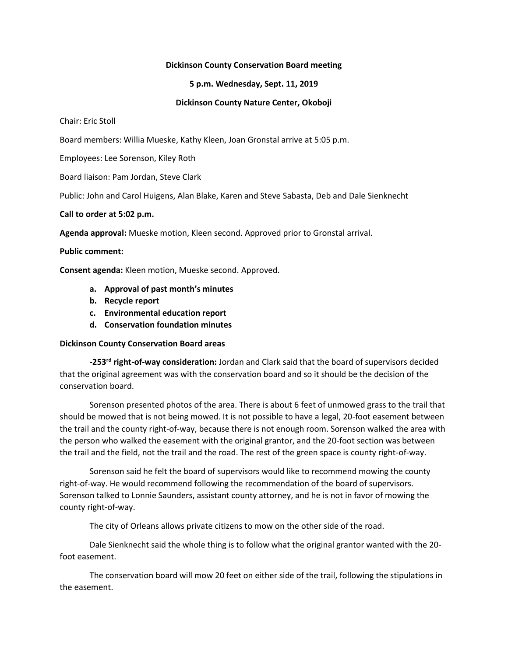#### **Dickinson County Conservation Board meeting**

## **5 p.m. Wednesday, Sept. 11, 2019**

## **Dickinson County Nature Center, Okoboji**

Chair: Eric Stoll

Board members: Willia Mueske, Kathy Kleen, Joan Gronstal arrive at 5:05 p.m.

Employees: Lee Sorenson, Kiley Roth

Board liaison: Pam Jordan, Steve Clark

Public: John and Carol Huigens, Alan Blake, Karen and Steve Sabasta, Deb and Dale Sienknecht

#### **Call to order at 5:02 p.m.**

**Agenda approval:** Mueske motion, Kleen second. Approved prior to Gronstal arrival.

## **Public comment:**

**Consent agenda:** Kleen motion, Mueske second. Approved.

- **a. Approval of past month's minutes**
- **b. Recycle report**
- **c. Environmental education report**
- **d. Conservation foundation minutes**

#### **Dickinson County Conservation Board areas**

**-253rd right-of-way consideration:** Jordan and Clark said that the board of supervisors decided that the original agreement was with the conservation board and so it should be the decision of the conservation board.

Sorenson presented photos of the area. There is about 6 feet of unmowed grass to the trail that should be mowed that is not being mowed. It is not possible to have a legal, 20-foot easement between the trail and the county right-of-way, because there is not enough room. Sorenson walked the area with the person who walked the easement with the original grantor, and the 20-foot section was between the trail and the field, not the trail and the road. The rest of the green space is county right-of-way.

Sorenson said he felt the board of supervisors would like to recommend mowing the county right-of-way. He would recommend following the recommendation of the board of supervisors. Sorenson talked to Lonnie Saunders, assistant county attorney, and he is not in favor of mowing the county right-of-way.

The city of Orleans allows private citizens to mow on the other side of the road.

Dale Sienknecht said the whole thing is to follow what the original grantor wanted with the 20 foot easement.

The conservation board will mow 20 feet on either side of the trail, following the stipulations in the easement.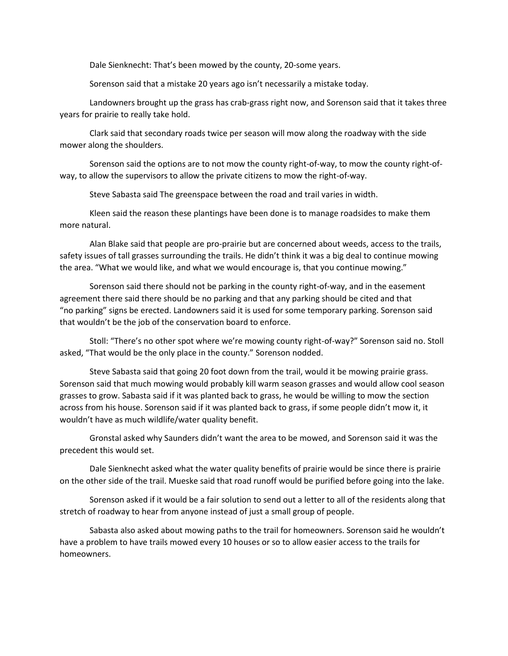Dale Sienknecht: That's been mowed by the county, 20-some years.

Sorenson said that a mistake 20 years ago isn't necessarily a mistake today.

Landowners brought up the grass has crab-grass right now, and Sorenson said that it takes three years for prairie to really take hold.

Clark said that secondary roads twice per season will mow along the roadway with the side mower along the shoulders.

Sorenson said the options are to not mow the county right-of-way, to mow the county right-ofway, to allow the supervisors to allow the private citizens to mow the right-of-way.

Steve Sabasta said The greenspace between the road and trail varies in width.

Kleen said the reason these plantings have been done is to manage roadsides to make them more natural.

Alan Blake said that people are pro-prairie but are concerned about weeds, access to the trails, safety issues of tall grasses surrounding the trails. He didn't think it was a big deal to continue mowing the area. "What we would like, and what we would encourage is, that you continue mowing."

Sorenson said there should not be parking in the county right-of-way, and in the easement agreement there said there should be no parking and that any parking should be cited and that "no parking" signs be erected. Landowners said it is used for some temporary parking. Sorenson said that wouldn't be the job of the conservation board to enforce.

Stoll: "There's no other spot where we're mowing county right-of-way?" Sorenson said no. Stoll asked, "That would be the only place in the county." Sorenson nodded.

Steve Sabasta said that going 20 foot down from the trail, would it be mowing prairie grass. Sorenson said that much mowing would probably kill warm season grasses and would allow cool season grasses to grow. Sabasta said if it was planted back to grass, he would be willing to mow the section across from his house. Sorenson said if it was planted back to grass, if some people didn't mow it, it wouldn't have as much wildlife/water quality benefit.

Gronstal asked why Saunders didn't want the area to be mowed, and Sorenson said it was the precedent this would set.

Dale Sienknecht asked what the water quality benefits of prairie would be since there is prairie on the other side of the trail. Mueske said that road runoff would be purified before going into the lake.

Sorenson asked if it would be a fair solution to send out a letter to all of the residents along that stretch of roadway to hear from anyone instead of just a small group of people.

Sabasta also asked about mowing paths to the trail for homeowners. Sorenson said he wouldn't have a problem to have trails mowed every 10 houses or so to allow easier access to the trails for homeowners.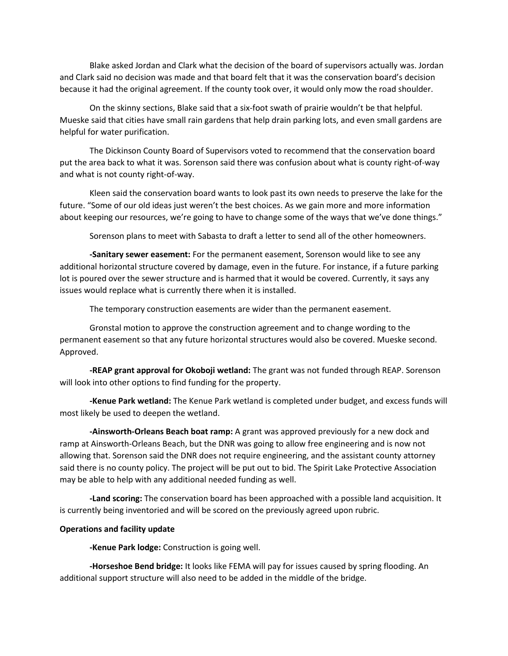Blake asked Jordan and Clark what the decision of the board of supervisors actually was. Jordan and Clark said no decision was made and that board felt that it was the conservation board's decision because it had the original agreement. If the county took over, it would only mow the road shoulder.

On the skinny sections, Blake said that a six-foot swath of prairie wouldn't be that helpful. Mueske said that cities have small rain gardens that help drain parking lots, and even small gardens are helpful for water purification.

The Dickinson County Board of Supervisors voted to recommend that the conservation board put the area back to what it was. Sorenson said there was confusion about what is county right-of-way and what is not county right-of-way.

Kleen said the conservation board wants to look past its own needs to preserve the lake for the future. "Some of our old ideas just weren't the best choices. As we gain more and more information about keeping our resources, we're going to have to change some of the ways that we've done things."

Sorenson plans to meet with Sabasta to draft a letter to send all of the other homeowners.

**-Sanitary sewer easement:** For the permanent easement, Sorenson would like to see any additional horizontal structure covered by damage, even in the future. For instance, if a future parking lot is poured over the sewer structure and is harmed that it would be covered. Currently, it says any issues would replace what is currently there when it is installed.

The temporary construction easements are wider than the permanent easement.

Gronstal motion to approve the construction agreement and to change wording to the permanent easement so that any future horizontal structures would also be covered. Mueske second. Approved.

**-REAP grant approval for Okoboji wetland:** The grant was not funded through REAP. Sorenson will look into other options to find funding for the property.

**-Kenue Park wetland:** The Kenue Park wetland is completed under budget, and excess funds will most likely be used to deepen the wetland.

**-Ainsworth-Orleans Beach boat ramp:** A grant was approved previously for a new dock and ramp at Ainsworth-Orleans Beach, but the DNR was going to allow free engineering and is now not allowing that. Sorenson said the DNR does not require engineering, and the assistant county attorney said there is no county policy. The project will be put out to bid. The Spirit Lake Protective Association may be able to help with any additional needed funding as well.

**-Land scoring:** The conservation board has been approached with a possible land acquisition. It is currently being inventoried and will be scored on the previously agreed upon rubric.

# **Operations and facility update**

**-Kenue Park lodge:** Construction is going well.

**-Horseshoe Bend bridge:** It looks like FEMA will pay for issues caused by spring flooding. An additional support structure will also need to be added in the middle of the bridge.